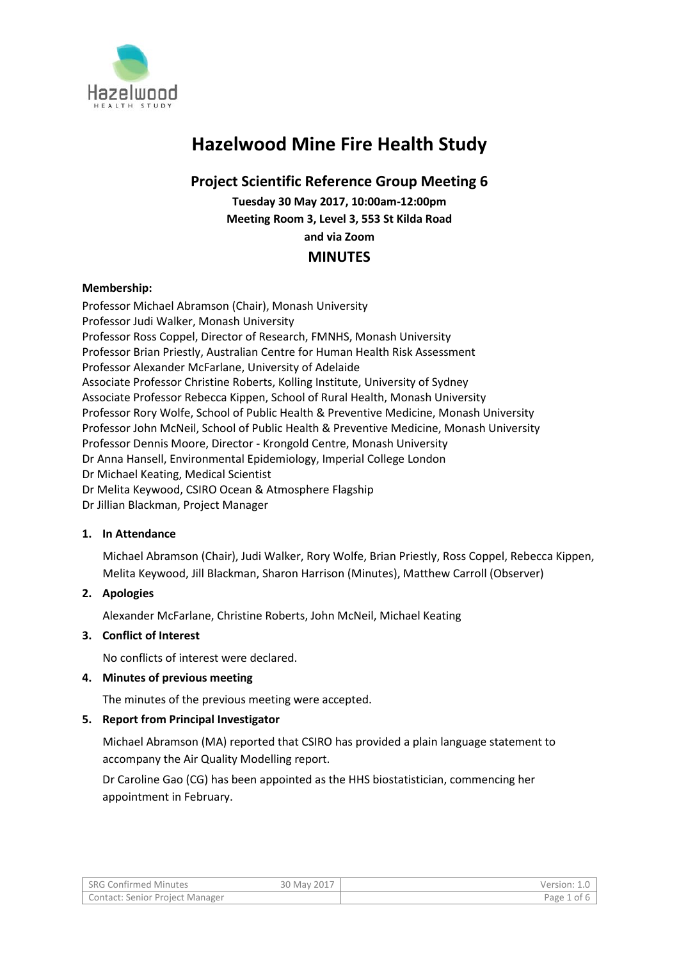

# **Hazelwood Mine Fire Health Study**

# **Project Scientific Reference Group Meeting 6**

**Tuesday 30 May 2017, 10:00am-12:00pm Meeting Room 3, Level 3, 553 St Kilda Road and via Zoom**

## **MINUTES**

## **Membership:**

Professor Michael Abramson (Chair), Monash University Professor Judi Walker, Monash University Professor Ross Coppel, Director of Research, FMNHS, Monash University Professor Brian Priestly, Australian Centre for Human Health Risk Assessment Professor Alexander McFarlane, University of Adelaide Associate Professor Christine Roberts, Kolling Institute, University of Sydney Associate Professor Rebecca Kippen, School of Rural Health, Monash University Professor Rory Wolfe, School of Public Health & Preventive Medicine, Monash University Professor John McNeil, School of Public Health & Preventive Medicine, Monash University Professor Dennis Moore, Director - Krongold Centre, Monash University Dr Anna Hansell, Environmental Epidemiology, Imperial College London Dr Michael Keating, Medical Scientist Dr Melita Keywood, CSIRO Ocean & Atmosphere Flagship Dr Jillian Blackman, Project Manager

#### **1. In Attendance**

Michael Abramson (Chair), Judi Walker, Rory Wolfe, Brian Priestly, Ross Coppel, Rebecca Kippen, Melita Keywood, Jill Blackman, Sharon Harrison (Minutes), Matthew Carroll (Observer)

## **2. Apologies**

Alexander McFarlane, Christine Roberts, John McNeil, Michael Keating

#### **3. Conflict of Interest**

No conflicts of interest were declared.

#### **4. Minutes of previous meeting**

The minutes of the previous meeting were accepted.

#### **5. Report from Principal Investigator**

Michael Abramson (MA) reported that CSIRO has provided a plain language statement to accompany the Air Quality Modelling report.

Dr Caroline Gao (CG) has been appointed as the HHS biostatistician, commencing her appointment in February.

| <b>SRG Confirmed Minutes</b>    | 30 May 2017 | Version: 1 |
|---------------------------------|-------------|------------|
| Contact: Senior Project Manager |             | Page 1 of  |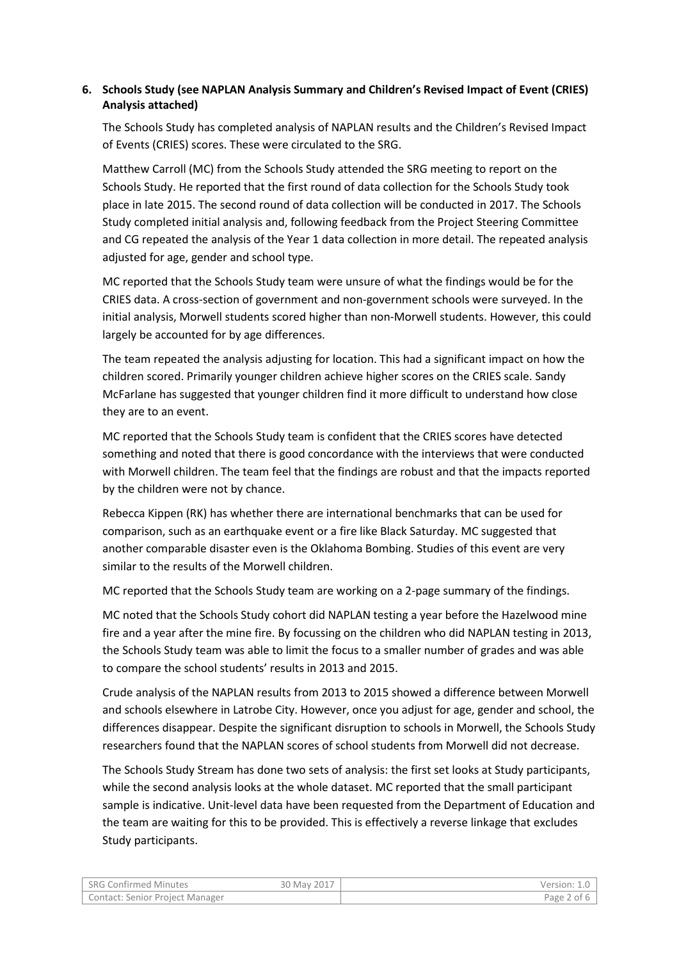## **6. Schools Study (see NAPLAN Analysis Summary and Children's Revised Impact of Event (CRIES) Analysis attached)**

The Schools Study has completed analysis of NAPLAN results and the Children's Revised Impact of Events (CRIES) scores. These were circulated to the SRG.

Matthew Carroll (MC) from the Schools Study attended the SRG meeting to report on the Schools Study. He reported that the first round of data collection for the Schools Study took place in late 2015. The second round of data collection will be conducted in 2017. The Schools Study completed initial analysis and, following feedback from the Project Steering Committee and CG repeated the analysis of the Year 1 data collection in more detail. The repeated analysis adjusted for age, gender and school type.

MC reported that the Schools Study team were unsure of what the findings would be for the CRIES data. A cross-section of government and non-government schools were surveyed. In the initial analysis, Morwell students scored higher than non-Morwell students. However, this could largely be accounted for by age differences.

The team repeated the analysis adjusting for location. This had a significant impact on how the children scored. Primarily younger children achieve higher scores on the CRIES scale. Sandy McFarlane has suggested that younger children find it more difficult to understand how close they are to an event.

MC reported that the Schools Study team is confident that the CRIES scores have detected something and noted that there is good concordance with the interviews that were conducted with Morwell children. The team feel that the findings are robust and that the impacts reported by the children were not by chance.

Rebecca Kippen (RK) has whether there are international benchmarks that can be used for comparison, such as an earthquake event or a fire like Black Saturday. MC suggested that another comparable disaster even is the Oklahoma Bombing. Studies of this event are very similar to the results of the Morwell children.

MC reported that the Schools Study team are working on a 2-page summary of the findings.

MC noted that the Schools Study cohort did NAPLAN testing a year before the Hazelwood mine fire and a year after the mine fire. By focussing on the children who did NAPLAN testing in 2013, the Schools Study team was able to limit the focus to a smaller number of grades and was able to compare the school students' results in 2013 and 2015.

Crude analysis of the NAPLAN results from 2013 to 2015 showed a difference between Morwell and schools elsewhere in Latrobe City. However, once you adjust for age, gender and school, the differences disappear. Despite the significant disruption to schools in Morwell, the Schools Study researchers found that the NAPLAN scores of school students from Morwell did not decrease.

The Schools Study Stream has done two sets of analysis: the first set looks at Study participants, while the second analysis looks at the whole dataset. MC reported that the small participant sample is indicative. Unit-level data have been requested from the Department of Education and the team are waiting for this to be provided. This is effectively a reverse linkage that excludes Study participants.

| <b>SRG Confirmed Minutes</b>    | 30 May 2017 | Version: 1.0 I  |
|---------------------------------|-------------|-----------------|
| Contact: Senior Project Manager |             | Page 2 of $6$ , |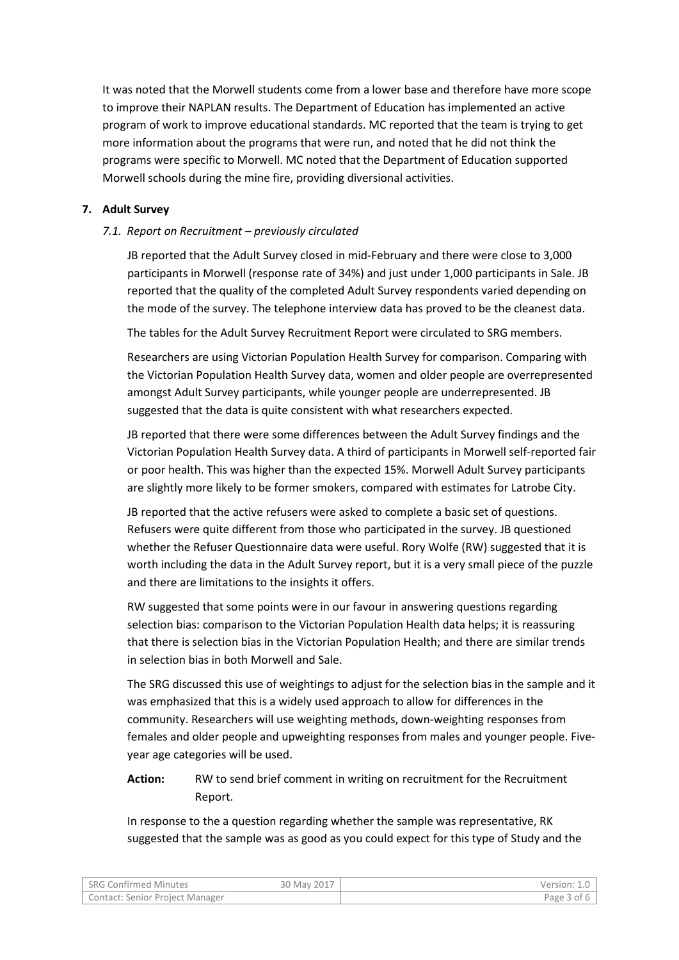It was noted that the Morwell students come from a lower base and therefore have more scope to improve their NAPLAN results. The Department of Education has implemented an active program of work to improve educational standards. MC reported that the team is trying to get more information about the programs that were run, and noted that he did not think the programs were specific to Morwell. MC noted that the Department of Education supported Morwell schools during the mine fire, providing diversional activities.

#### **7. Adult Survey**

#### *7.1. Report on Recruitment – previously circulated*

JB reported that the Adult Survey closed in mid-February and there were close to 3,000 participants in Morwell (response rate of 34%) and just under 1,000 participants in Sale. JB reported that the quality of the completed Adult Survey respondents varied depending on the mode of the survey. The telephone interview data has proved to be the cleanest data.

The tables for the Adult Survey Recruitment Report were circulated to SRG members.

Researchers are using Victorian Population Health Survey for comparison. Comparing with the Victorian Population Health Survey data, women and older people are overrepresented amongst Adult Survey participants, while younger people are underrepresented. JB suggested that the data is quite consistent with what researchers expected.

JB reported that there were some differences between the Adult Survey findings and the Victorian Population Health Survey data. A third of participants in Morwell self-reported fair or poor health. This was higher than the expected 15%. Morwell Adult Survey participants are slightly more likely to be former smokers, compared with estimates for Latrobe City.

JB reported that the active refusers were asked to complete a basic set of questions. Refusers were quite different from those who participated in the survey. JB questioned whether the Refuser Questionnaire data were useful. Rory Wolfe (RW) suggested that it is worth including the data in the Adult Survey report, but it is a very small piece of the puzzle and there are limitations to the insights it offers.

RW suggested that some points were in our favour in answering questions regarding selection bias: comparison to the Victorian Population Health data helps; it is reassuring that there is selection bias in the Victorian Population Health; and there are similar trends in selection bias in both Morwell and Sale.

The SRG discussed this use of weightings to adjust for the selection bias in the sample and it was emphasized that this is a widely used approach to allow for differences in the community. Researchers will use weighting methods, down-weighting responses from females and older people and upweighting responses from males and younger people. Fiveyear age categories will be used.

## **Action:** RW to send brief comment in writing on recruitment for the Recruitment Report.

In response to the a question regarding whether the sample was representative, RK suggested that the sample was as good as you could expect for this type of Study and the

| <b>SRG Confirmed Minutes</b>           | 30 May 2017 | Version: 1.0 |
|----------------------------------------|-------------|--------------|
| <b>Contact: Senior Project Manager</b> |             | Page 3 of 6  |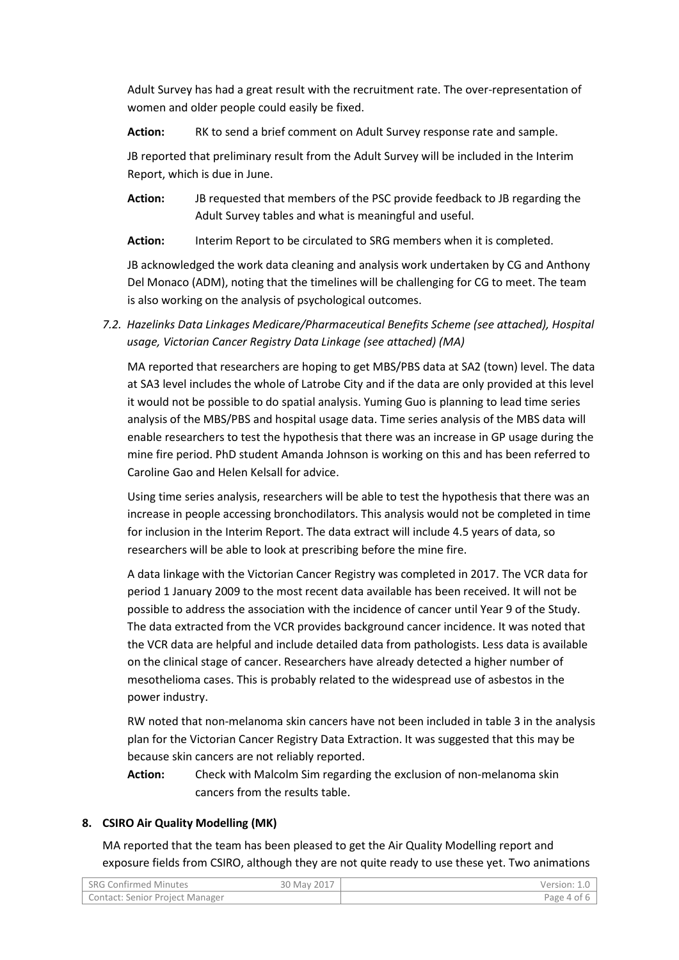Adult Survey has had a great result with the recruitment rate. The over-representation of women and older people could easily be fixed.

**Action:** RK to send a brief comment on Adult Survey response rate and sample.

JB reported that preliminary result from the Adult Survey will be included in the Interim Report, which is due in June.

**Action:** JB requested that members of the PSC provide feedback to JB regarding the Adult Survey tables and what is meaningful and useful.

**Action:** Interim Report to be circulated to SRG members when it is completed.

JB acknowledged the work data cleaning and analysis work undertaken by CG and Anthony Del Monaco (ADM), noting that the timelines will be challenging for CG to meet. The team is also working on the analysis of psychological outcomes.

*7.2. Hazelinks Data Linkages Medicare/Pharmaceutical Benefits Scheme (see attached), Hospital usage, Victorian Cancer Registry Data Linkage (see attached) (MA)*

MA reported that researchers are hoping to get MBS/PBS data at SA2 (town) level. The data at SA3 level includes the whole of Latrobe City and if the data are only provided at this level it would not be possible to do spatial analysis. Yuming Guo is planning to lead time series analysis of the MBS/PBS and hospital usage data. Time series analysis of the MBS data will enable researchers to test the hypothesis that there was an increase in GP usage during the mine fire period. PhD student Amanda Johnson is working on this and has been referred to Caroline Gao and Helen Kelsall for advice.

Using time series analysis, researchers will be able to test the hypothesis that there was an increase in people accessing bronchodilators. This analysis would not be completed in time for inclusion in the Interim Report. The data extract will include 4.5 years of data, so researchers will be able to look at prescribing before the mine fire.

A data linkage with the Victorian Cancer Registry was completed in 2017. The VCR data for period 1 January 2009 to the most recent data available has been received. It will not be possible to address the association with the incidence of cancer until Year 9 of the Study. The data extracted from the VCR provides background cancer incidence. It was noted that the VCR data are helpful and include detailed data from pathologists. Less data is available on the clinical stage of cancer. Researchers have already detected a higher number of mesothelioma cases. This is probably related to the widespread use of asbestos in the power industry.

RW noted that non-melanoma skin cancers have not been included in table 3 in the analysis plan for the Victorian Cancer Registry Data Extraction. It was suggested that this may be because skin cancers are not reliably reported.

**Action:** Check with Malcolm Sim regarding the exclusion of non-melanoma skin cancers from the results table.

#### **8. CSIRO Air Quality Modelling (MK)**

MA reported that the team has been pleased to get the Air Quality Modelling report and exposure fields from CSIRO, although they are not quite ready to use these yet. Two animations

| SRG Confirmed Minutes                  | 30 May 2017 | Version: 1.0 |
|----------------------------------------|-------------|--------------|
| <b>Contact: Senior Project Manager</b> |             | Page 4 of 6  |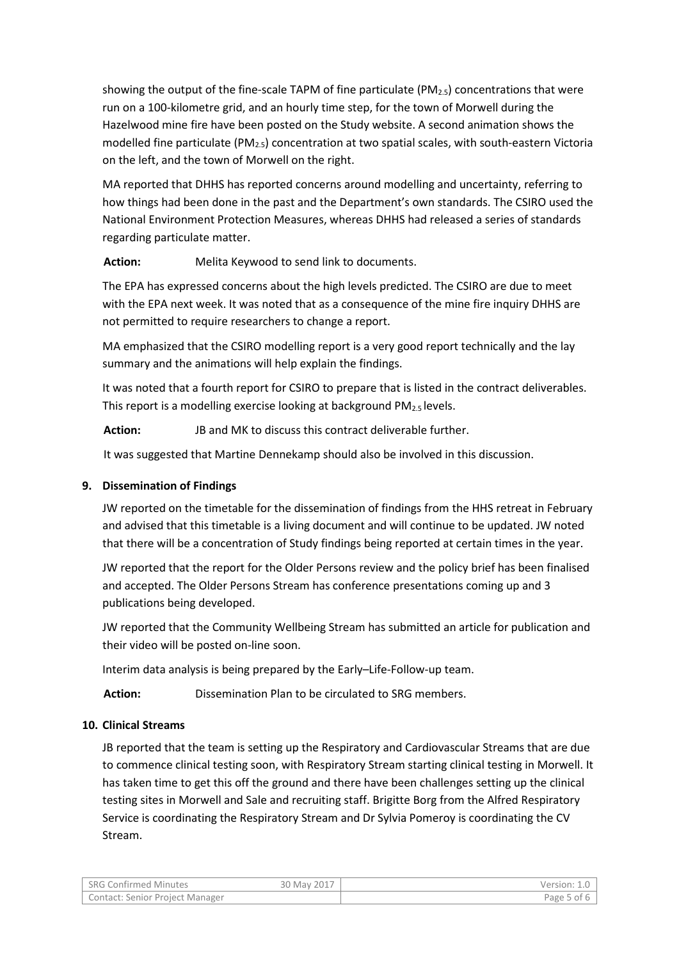showing the output of the fine-scale TAPM of fine particulate ( $PM_{2.5}$ ) concentrations that were run on a 100-kilometre grid, and an hourly time step, for the town of Morwell during the Hazelwood mine fire have been posted on the Study website. A second animation shows the modelled fine particulate (PM2.5) concentration at two spatial scales, with south-eastern Victoria on the left, and the town of Morwell on the right.

MA reported that DHHS has reported concerns around modelling and uncertainty, referring to how things had been done in the past and the Department's own standards. The CSIRO used the National Environment Protection Measures, whereas DHHS had released a series of standards regarding particulate matter.

**Action:** Melita Keywood to send link to documents.

The EPA has expressed concerns about the high levels predicted. The CSIRO are due to meet with the EPA next week. It was noted that as a consequence of the mine fire inquiry DHHS are not permitted to require researchers to change a report.

MA emphasized that the CSIRO modelling report is a very good report technically and the lay summary and the animations will help explain the findings.

It was noted that a fourth report for CSIRO to prepare that is listed in the contract deliverables. This report is a modelling exercise looking at background  $PM_{2.5}$  levels.

**Action:** JB and MK to discuss this contract deliverable further.

It was suggested that Martine Dennekamp should also be involved in this discussion.

## **9. Dissemination of Findings**

JW reported on the timetable for the dissemination of findings from the HHS retreat in February and advised that this timetable is a living document and will continue to be updated. JW noted that there will be a concentration of Study findings being reported at certain times in the year.

JW reported that the report for the Older Persons review and the policy brief has been finalised and accepted. The Older Persons Stream has conference presentations coming up and 3 publications being developed.

JW reported that the Community Wellbeing Stream has submitted an article for publication and their video will be posted on-line soon.

Interim data analysis is being prepared by the Early–Life-Follow-up team.

**Action:** Dissemination Plan to be circulated to SRG members.

## **10. Clinical Streams**

JB reported that the team is setting up the Respiratory and Cardiovascular Streams that are due to commence clinical testing soon, with Respiratory Stream starting clinical testing in Morwell. It has taken time to get this off the ground and there have been challenges setting up the clinical testing sites in Morwell and Sale and recruiting staff. Brigitte Borg from the Alfred Respiratory Service is coordinating the Respiratory Stream and Dr Sylvia Pomeroy is coordinating the CV Stream.

| <b>SRG Confirmed Minutes</b>           | 30 May 2017 | Version: 1.0 |
|----------------------------------------|-------------|--------------|
| <b>Contact: Senior Project Manager</b> |             | Page 5 of b. |